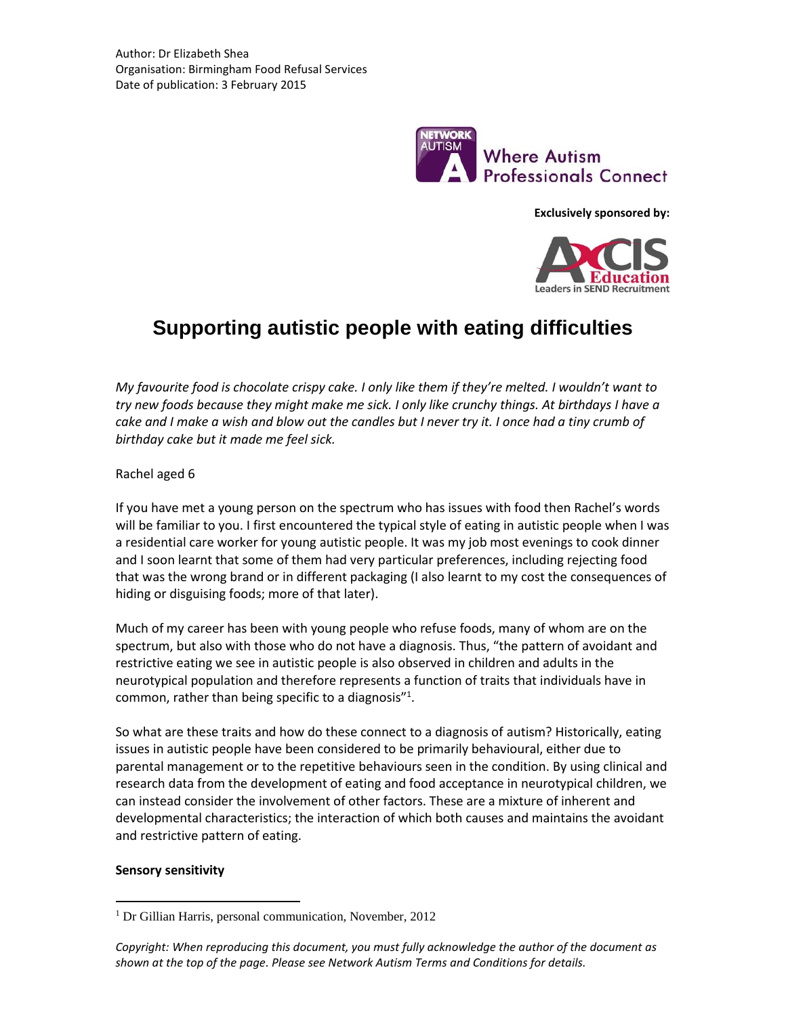

**Exclusively sponsored by:**



# **Supporting autistic people with eating difficulties**

*My favourite food is chocolate crispy cake. I only like them if they're melted. I wouldn't want to try new foods because they might make me sick. I only like crunchy things. At birthdays I have a cake and I make a wish and blow out the candles but I never try it. I once had a tiny crumb of birthday cake but it made me feel sick.*

Rachel aged 6

If you have met a young person on the spectrum who has issues with food then Rachel's words will be familiar to you. I first encountered the typical style of eating in autistic people when I was a residential care worker for young autistic people. It was my job most evenings to cook dinner and I soon learnt that some of them had very particular preferences, including rejecting food that was the wrong brand or in different packaging (I also learnt to my cost the consequences of hiding or disguising foods; more of that later).

Much of my career has been with young people who refuse foods, many of whom are on the spectrum, but also with those who do not have a diagnosis. Thus, "the pattern of avoidant and restrictive eating we see in autistic people is also observed in children and adults in the neurotypical population and therefore represents a function of traits that individuals have in common, rather than being specific to a diagnosis"<sup>1</sup>.

So what are these traits and how do these connect to a diagnosis of autism? Historically, eating issues in autistic people have been considered to be primarily behavioural, either due to parental management or to the repetitive behaviours seen in the condition. By using clinical and research data from the development of eating and food acceptance in neurotypical children, we can instead consider the involvement of other factors. These are a mixture of inherent and developmental characteristics; the interaction of which both causes and maintains the avoidant and restrictive pattern of eating.

# **Sensory sensitivity**

 $\overline{a}$ 

<sup>&</sup>lt;sup>1</sup> Dr Gillian Harris, personal communication, November, 2012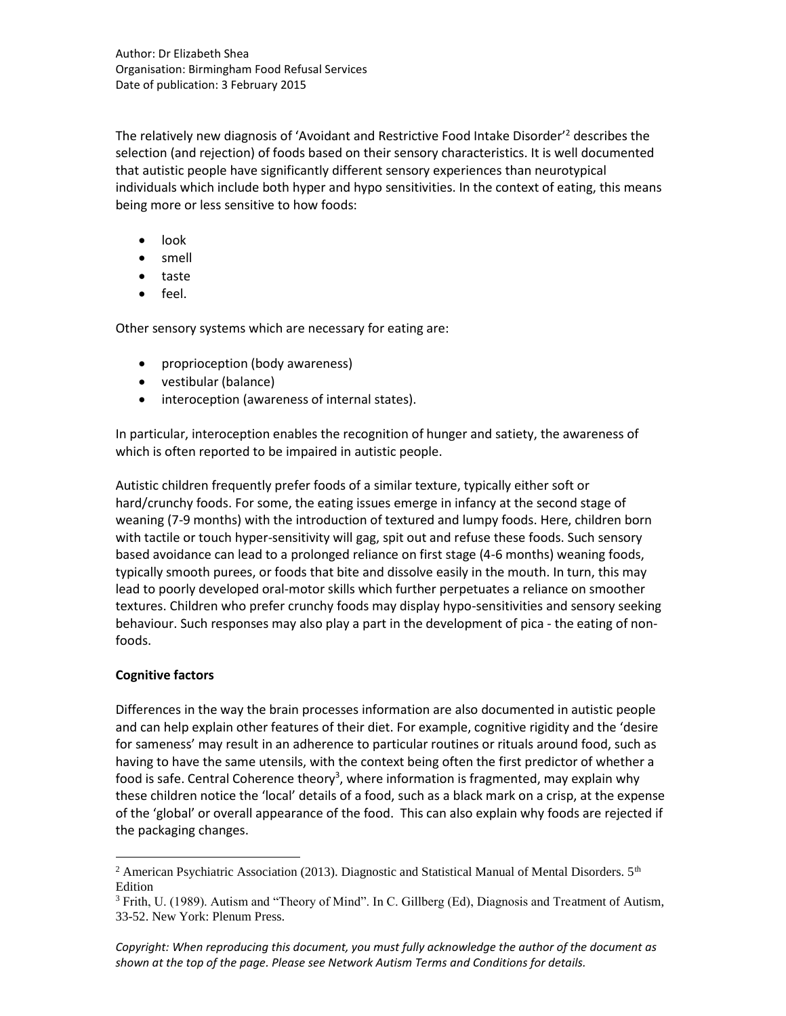The relatively new diagnosis of 'Avoidant and Restrictive Food Intake Disorder'<sup>2</sup> describes the selection (and rejection) of foods based on their sensory characteristics. It is well documented that autistic people have significantly different sensory experiences than neurotypical individuals which include both hyper and hypo sensitivities. In the context of eating, this means being more or less sensitive to how foods:

- look
- smell
- taste
- feel.

Other sensory systems which are necessary for eating are:

- proprioception (body awareness)
- vestibular (balance)
- interoception (awareness of internal states).

In particular, interoception enables the recognition of hunger and satiety, the awareness of which is often reported to be impaired in autistic people.

Autistic children frequently prefer foods of a similar texture, typically either soft or hard/crunchy foods. For some, the eating issues emerge in infancy at the second stage of weaning (7-9 months) with the introduction of textured and lumpy foods. Here, children born with tactile or touch hyper-sensitivity will gag, spit out and refuse these foods. Such sensory based avoidance can lead to a prolonged reliance on first stage (4-6 months) weaning foods, typically smooth purees, or foods that bite and dissolve easily in the mouth. In turn, this may lead to poorly developed oral-motor skills which further perpetuates a reliance on smoother textures. Children who prefer crunchy foods may display hypo-sensitivities and sensory seeking behaviour. Such responses may also play a part in the development of pica - the eating of nonfoods.

# **Cognitive factors**

 $\overline{a}$ 

Differences in the way the brain processes information are also documented in autistic people and can help explain other features of their diet. For example, cognitive rigidity and the 'desire for sameness' may result in an adherence to particular routines or rituals around food, such as having to have the same utensils, with the context being often the first predictor of whether a food is safe. Central Coherence theory<sup>3</sup>, where information is fragmented, may explain why these children notice the 'local' details of a food, such as a black mark on a crisp, at the expense of the 'global' or overall appearance of the food. This can also explain why foods are rejected if the packaging changes.

<sup>&</sup>lt;sup>2</sup> American Psychiatric Association (2013). Diagnostic and Statistical Manual of Mental Disorders.  $5<sup>th</sup>$ Edition

<sup>&</sup>lt;sup>3</sup> Frith, U. (1989). Autism and "Theory of Mind". In C. Gillberg (Ed), Diagnosis and Treatment of Autism, 33-52. New York: Plenum Press.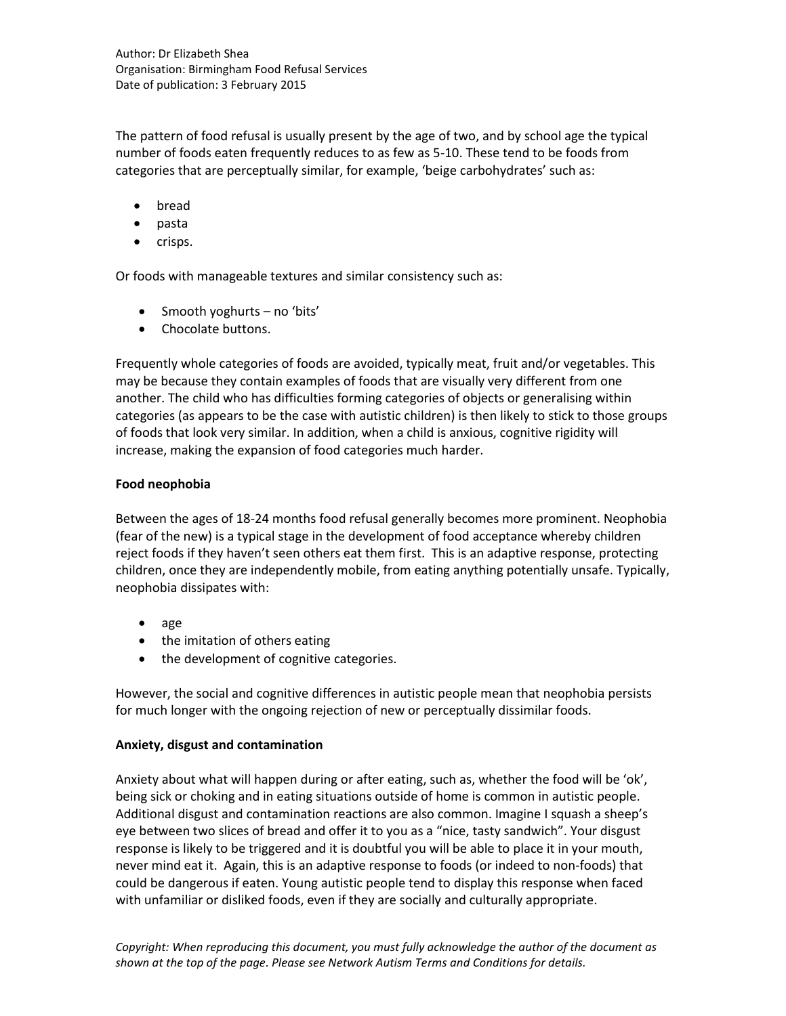The pattern of food refusal is usually present by the age of two, and by school age the typical number of foods eaten frequently reduces to as few as 5-10. These tend to be foods from categories that are perceptually similar, for example, 'beige carbohydrates' such as:

- bread
- pasta
- crisps.

Or foods with manageable textures and similar consistency such as:

- Smooth yoghurts no 'bits'
- Chocolate buttons.

Frequently whole categories of foods are avoided, typically meat, fruit and/or vegetables. This may be because they contain examples of foods that are visually very different from one another. The child who has difficulties forming categories of objects or generalising within categories (as appears to be the case with autistic children) is then likely to stick to those groups of foods that look very similar. In addition, when a child is anxious, cognitive rigidity will increase, making the expansion of food categories much harder.

# **Food neophobia**

Between the ages of 18-24 months food refusal generally becomes more prominent. Neophobia (fear of the new) is a typical stage in the development of food acceptance whereby children reject foods if they haven't seen others eat them first. This is an adaptive response, protecting children, once they are independently mobile, from eating anything potentially unsafe. Typically, neophobia dissipates with:

- $\bullet$  age
- the imitation of others eating
- the development of cognitive categories.

However, the social and cognitive differences in autistic people mean that neophobia persists for much longer with the ongoing rejection of new or perceptually dissimilar foods.

# **Anxiety, disgust and contamination**

Anxiety about what will happen during or after eating, such as, whether the food will be 'ok', being sick or choking and in eating situations outside of home is common in autistic people. Additional disgust and contamination reactions are also common. Imagine I squash a sheep's eye between two slices of bread and offer it to you as a "nice, tasty sandwich". Your disgust response is likely to be triggered and it is doubtful you will be able to place it in your mouth, never mind eat it. Again, this is an adaptive response to foods (or indeed to non-foods) that could be dangerous if eaten. Young autistic people tend to display this response when faced with unfamiliar or disliked foods, even if they are socially and culturally appropriate.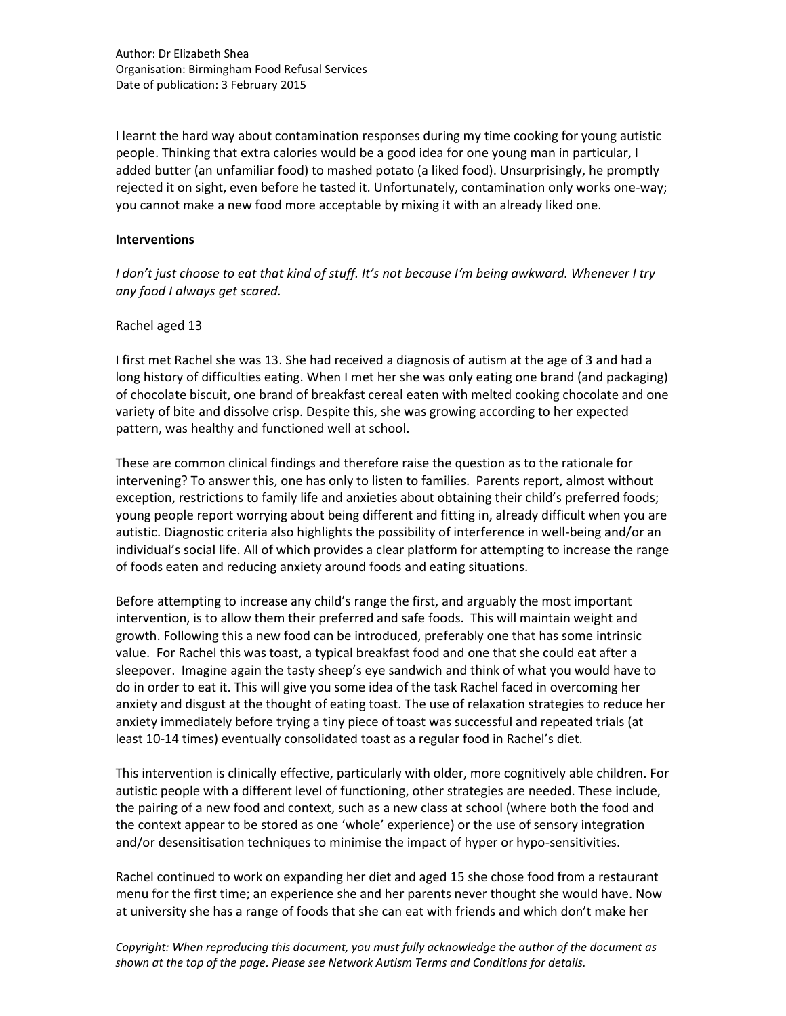I learnt the hard way about contamination responses during my time cooking for young autistic people. Thinking that extra calories would be a good idea for one young man in particular, I added butter (an unfamiliar food) to mashed potato (a liked food). Unsurprisingly, he promptly rejected it on sight, even before he tasted it. Unfortunately, contamination only works one-way; you cannot make a new food more acceptable by mixing it with an already liked one.

#### **Interventions**

*I don't just choose to eat that kind of stuff. It's not because I'm being awkward. Whenever I try any food I always get scared.*

#### Rachel aged 13

I first met Rachel she was 13. She had received a diagnosis of autism at the age of 3 and had a long history of difficulties eating. When I met her she was only eating one brand (and packaging) of chocolate biscuit, one brand of breakfast cereal eaten with melted cooking chocolate and one variety of bite and dissolve crisp. Despite this, she was growing according to her expected pattern, was healthy and functioned well at school.

These are common clinical findings and therefore raise the question as to the rationale for intervening? To answer this, one has only to listen to families. Parents report, almost without exception, restrictions to family life and anxieties about obtaining their child's preferred foods; young people report worrying about being different and fitting in, already difficult when you are autistic. Diagnostic criteria also highlights the possibility of interference in well-being and/or an individual's social life. All of which provides a clear platform for attempting to increase the range of foods eaten and reducing anxiety around foods and eating situations.

Before attempting to increase any child's range the first, and arguably the most important intervention, is to allow them their preferred and safe foods. This will maintain weight and growth. Following this a new food can be introduced, preferably one that has some intrinsic value. For Rachel this was toast, a typical breakfast food and one that she could eat after a sleepover. Imagine again the tasty sheep's eye sandwich and think of what you would have to do in order to eat it. This will give you some idea of the task Rachel faced in overcoming her anxiety and disgust at the thought of eating toast. The use of relaxation strategies to reduce her anxiety immediately before trying a tiny piece of toast was successful and repeated trials (at least 10-14 times) eventually consolidated toast as a regular food in Rachel's diet.

This intervention is clinically effective, particularly with older, more cognitively able children. For autistic people with a different level of functioning, other strategies are needed. These include, the pairing of a new food and context, such as a new class at school (where both the food and the context appear to be stored as one 'whole' experience) or the use of sensory integration and/or desensitisation techniques to minimise the impact of hyper or hypo-sensitivities.

Rachel continued to work on expanding her diet and aged 15 she chose food from a restaurant menu for the first time; an experience she and her parents never thought she would have. Now at university she has a range of foods that she can eat with friends and which don't make her

*Copyright: When reproducing this document, you must fully acknowledge the author of the document as shown at the top of the page. Please see Network Autism Terms and Conditions for details.*